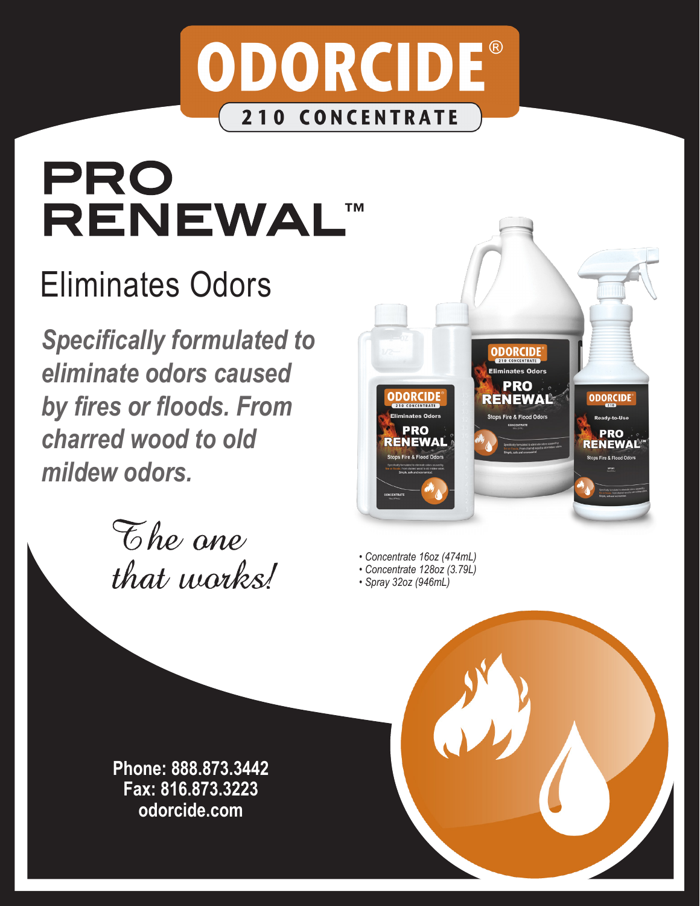

# pro **RENEWAL™**

# Eliminates Odors

*Specifically formulated to eliminate odors caused by fires or floods. From charred wood to old mildew odors.* 





- *Concentrate 16oz (474mL)*
- *Concentrate 128oz (3.79L)*
- *Spray 32oz (946mL)*

**Phone: 888.873.3442 Fax: 816.873.3223 odorcide.com**